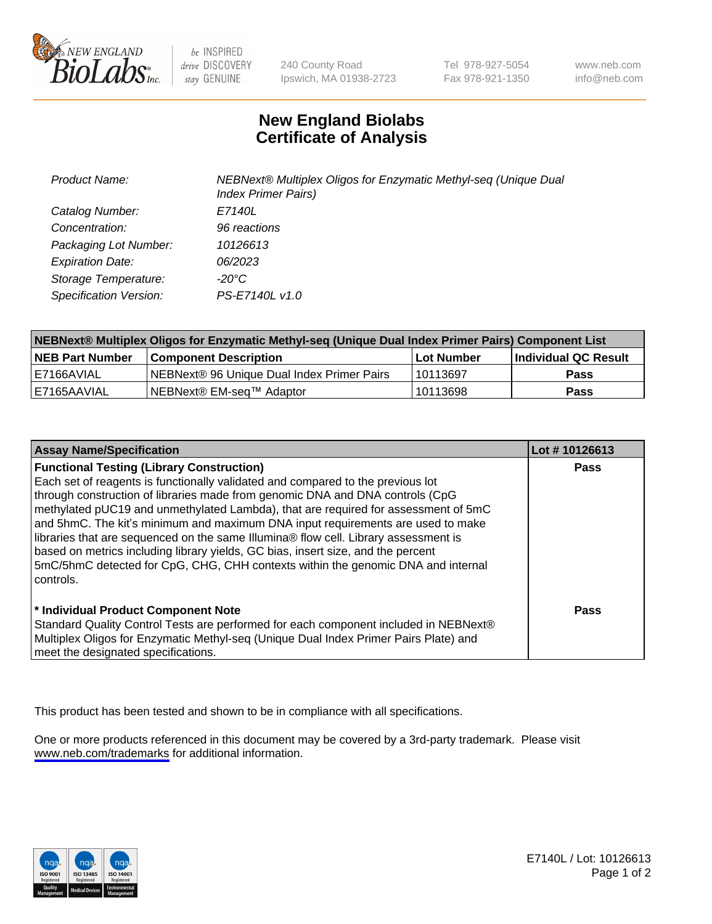

be INSPIRED drive DISCOVERY stay GENUINE

240 County Road Ipswich, MA 01938-2723 Tel 978-927-5054 Fax 978-921-1350

www.neb.com info@neb.com

## **New England Biolabs Certificate of Analysis**

| Product Name:           | NEBNext® Multiplex Oligos for Enzymatic Methyl-seq (Unique Dual<br><b>Index Primer Pairs)</b> |
|-------------------------|-----------------------------------------------------------------------------------------------|
| Catalog Number:         | E7140L                                                                                        |
| Concentration:          | 96 reactions                                                                                  |
| Packaging Lot Number:   | 10126613                                                                                      |
| <b>Expiration Date:</b> | 06/2023                                                                                       |
| Storage Temperature:    | -20°C                                                                                         |
| Specification Version:  | PS-E7140L v1.0                                                                                |

| NEBNext® Multiplex Oligos for Enzymatic Methyl-seq (Unique Dual Index Primer Pairs) Component List |                                                   |            |                      |  |
|----------------------------------------------------------------------------------------------------|---------------------------------------------------|------------|----------------------|--|
| <b>NEB Part Number</b>                                                                             | <b>Component Description</b>                      | Lot Number | Individual QC Result |  |
| I E7166AVIAL                                                                                       | <b>NEBNext® 96 Unique Dual Index Primer Pairs</b> | 10113697   | <b>Pass</b>          |  |
| E7165AAVIAL                                                                                        | NEBNext® EM-seq™ Adaptor                          | 10113698   | <b>Pass</b>          |  |

| <b>Assay Name/Specification</b>                                                      | Lot #10126613 |
|--------------------------------------------------------------------------------------|---------------|
| <b>Functional Testing (Library Construction)</b>                                     | <b>Pass</b>   |
| Each set of reagents is functionally validated and compared to the previous lot      |               |
| through construction of libraries made from genomic DNA and DNA controls (CpG        |               |
| methylated pUC19 and unmethylated Lambda), that are required for assessment of 5mC   |               |
| and 5hmC. The kit's minimum and maximum DNA input requirements are used to make      |               |
| libraries that are sequenced on the same Illumina® flow cell. Library assessment is  |               |
| based on metrics including library yields, GC bias, insert size, and the percent     |               |
| 5mC/5hmC detected for CpG, CHG, CHH contexts within the genomic DNA and internal     |               |
| controls.                                                                            |               |
|                                                                                      |               |
| * Individual Product Component Note                                                  | Pass          |
| Standard Quality Control Tests are performed for each component included in NEBNext® |               |
| Multiplex Oligos for Enzymatic Methyl-seq (Unique Dual Index Primer Pairs Plate) and |               |
| meet the designated specifications.                                                  |               |

This product has been tested and shown to be in compliance with all specifications.

One or more products referenced in this document may be covered by a 3rd-party trademark. Please visit <www.neb.com/trademarks>for additional information.